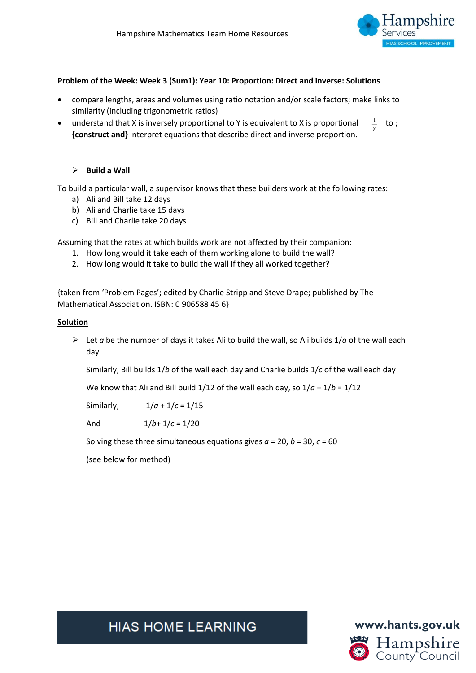

#### **Problem of the Week: Week 3 (Sum1): Year 10: Proportion: Direct and inverse: Solutions**

- compare lengths, areas and volumes using ratio notation and/or scale factors; make links to similarity (including trigonometric ratios)
- understand that X is inversely proportional to Y is equivalent to X is proportional  $\frac{1}{x}$  to ; **{construct and}** interpret equations that describe direct and inverse proportion.

#### ➢ **Build a Wall**

To build a particular wall, a supervisor knows that these builders work at the following rates:

- a) Ali and Bill take 12 days
- b) Ali and Charlie take 15 days
- c) Bill and Charlie take 20 days

Assuming that the rates at which builds work are not affected by their companion:

- 1. How long would it take each of them working alone to build the wall?
- 2. How long would it take to build the wall if they all worked together?

{taken from 'Problem Pages'; edited by Charlie Stripp and Steve Drape; published by The Mathematical Association. ISBN: 0 906588 45 6}

#### **Solution**

 $\triangleright$  Let *a* be the number of days it takes Ali to build the wall, so Ali builds 1/*a* of the wall each day

Similarly, Bill builds 1/*b* of the wall each day and Charlie builds 1/*c* of the wall each day

We know that Ali and Bill build  $1/12$  of the wall each day, so  $1/a + 1/b = 1/12$ 

Similarly, 1/*a* + 1/*c* = 1/15

And 1/*b*+ 1/*c* = 1/20

Solving these three simultaneous equations gives *a* = 20, *b* = 30, *c* = 60

(see below for method)

**HIAS HOME LEARNING** 

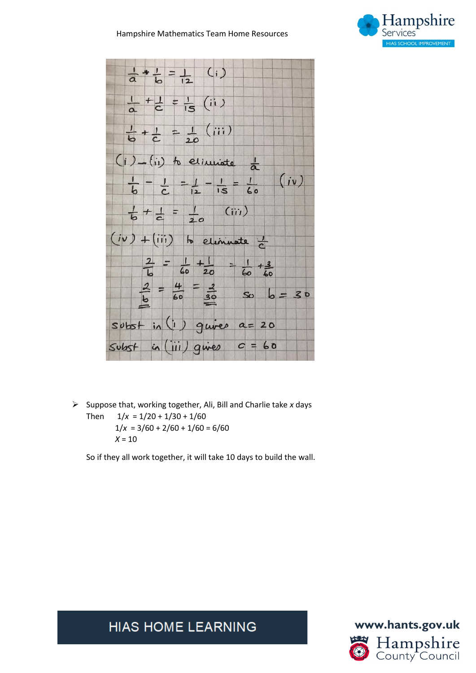#### Hampshire Mathematics Team Home Resources





➢ Suppose that, working together, Ali, Bill and Charlie take *x* days Then  $1/x = 1/20 + 1/30 + 1/60$  $1/x = 3/60 + 2/60 + 1/60 = 6/60$  $X = 10$ 

So if they all work together, it will take 10 days to build the wall.

**HIAS HOME LEARNING** 

**www.hants.gov.uk** Hampshire<br>County Council